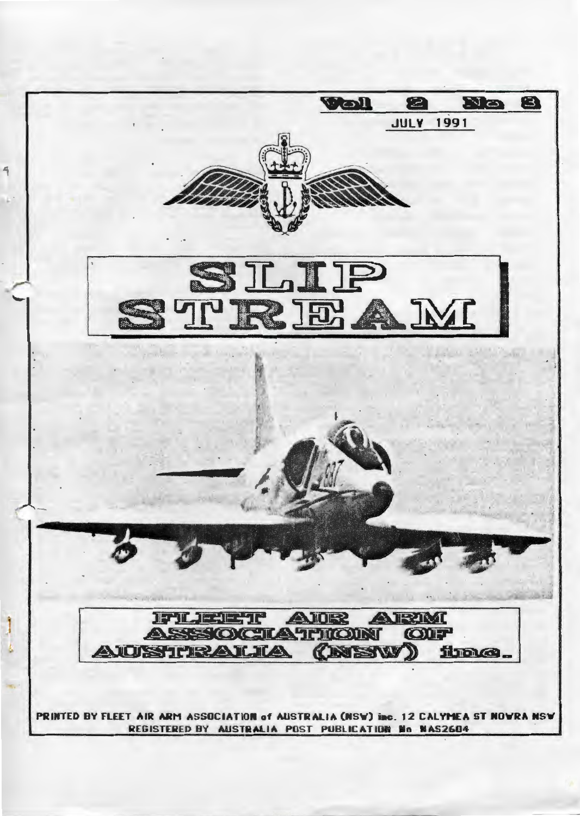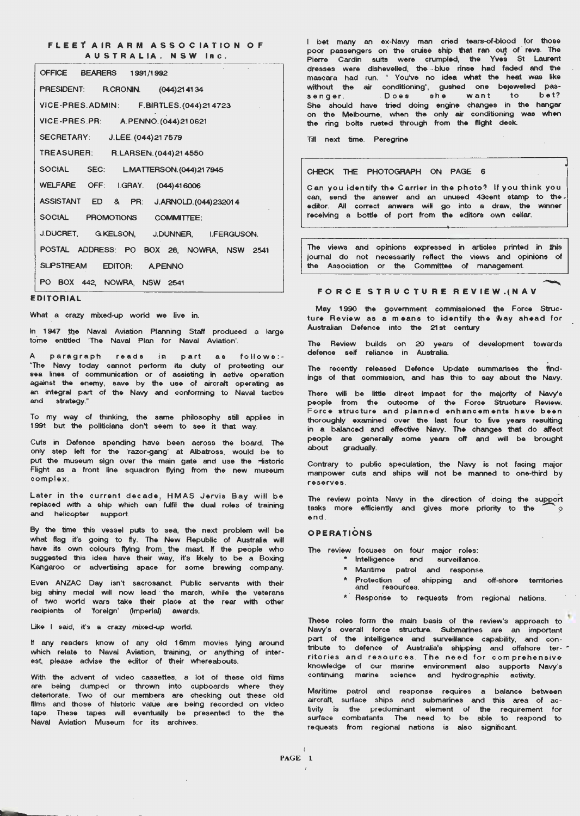#### **FLEET AIR ARM ASSOCIATION OF** AUSTRALIA. NSW Inc.

| OFFICE BEARERS 1991/1992                           |
|----------------------------------------------------|
| PRESIDENT: R.CRONIN. (044) 21 41 34                |
| VICE-PRES.ADMIN: F.BIRTLES.(044)214723             |
| VICE-PRES.PR: A.PENNO. (044) 210621                |
| <b>SECRETARY:</b><br>J.LEE. (044) 21 7579          |
| <b>TREASURER:</b><br>R.LARSEN. (044) 21 4550       |
| <b>SOCIAL</b><br>SEC:<br>LMATTERSON. (044) 21 7945 |
| WELFARE OFF: I.GRAY. (044)416006                   |
| ASSISTANT ED & PR:<br>J.ARNOLD. (044) 232014       |
| SOCIAL<br>PROMOTIONS COMMITTEE:                    |
| J.DUCRET, G.KELSON, J.DUNNER, I.FERGUSON.          |
| POSTAL ADDRESS: PO BOX 28, NOWRA, NSW 2541         |
| SLIPSTREAM EDITOR: A.PENNO                         |
| PO BOX 442, NOWRA, NSW 2541                        |

#### EDITORIAL

What a crazy mixed-up world we live in.

In 1947 the Naval Aviation Planning Staff produced a large tome entitled 'The Naval Plan for Naval Aviation'.

A paragraph reads in part as follows:-"The Navy today cannot perfonn ite duty of protecting our sea linee of communication or of assisting in active operation against the enemy , save by the use of aircraft operating as an integral part of the Navy and conforming to Naval tactics and strategy ."

To my way of thinking, the same philosophy still applies in 1991 but the politicians don't seem to see it that way .

Cuts in Defence spending have been across the board. The only step left for the 'razor-gang' at Albatross, would be to put the museum sign over the main gate and use the Historic Flight as a front line squadron flying from the new museum complex .

Later in the current decade. HMAS Jervis Bay will be replaced with a ship which can fulfil the dual roles of training and helicopter support.

By the time this vessel puts to sea, the next problem will be what flag it's going to fly. The New Republic of Australia will have its own colours flying from the mast. If the people who suggested this idea have their way, it's likely to be a Boxing Kangaroo or advertising space for some brewing company.

Even ANZAC Day isn't sacrosanct Public servants with their big shiny medal will now lead the march, while the veterans of two world wars take their place at the rear with other recipients of 'foreign' (Imperial) awards.

Like I said, it's a crazy mixed-up world.

If any readers know of any old 16mm movies lying around which relate to Naval Aviation, training , or anything of inter est, please advise the editor of their whereabouts.

With the advent of video cassettes, a lot of these old films are being dumped or thrown into cupboards where they deteriorate . Two of our members are checking out these old films and those of historic value are being recorded on video tape . These tapes will eventually be presented to the the Naval Aviation Museum for its archives.

I bet many an ex-Navy man cried tears-of-blood for those poor passengers on the cruise ship that ran out of revs. The Pierre Cardin suits were crumpled, the Yves St Laurent dresses were dishevelled, the blue rinse had faded and the mascara had run . " You've no idea what the heat was like without the air conditioning", gushed one bejewelled passenger. Does she want to bet? She should have tried doing engine changes in the hangar on the Melbourne, when the only air conditioning was when the ring bolto ruoted through from the flight deck.

Till next time . Peregrine

#### CHECK THE PHOTOGRAPH ON PAGE 6

Can you identify the Carrier in the photo? If you think you can send the answer and an unused 43cent stamp to the editor. All correct anwers will go into a draw, the winner receiving a bottle of port from the editors own cellar.

The views and opinions expressed in articles printed in this journal do not necessarily reflect the views and opiniQns of the Association or the Committee of management

#### FORCE STRUCTURE REVIEW.(NAV

May 1990 the government commissioned the Force Structure Review as a means to identify the Way ahead for Australian Defence into the 21st century

The Review defence self builds on 20 years reliance in Australia. of development towards

The recently released Defence Update summarises the findings of that commission, and has this to say about the Navy.

There will be little direct impact for the majority of Navy'e people from the outcome of the Force Structure Review. .<br>Force structure and planned enhancements have been thoroughly examined over the last four to five years resulting in a balanced and effective Navy. The changes that do affect people are generally some years off and will be brought about gradually.

Contrary to public speculation, the Navy is not facing major manpower cuts and ships will not be manned to one-third by reserves .

The review points Navy in the direction of doing the support tasks more efficiently and gives more priority to the end .

#### **OPERATIONS**

The review focuses on four major roles:

- htelligence and surveillance.
	- \* Maritime patrol and response.
- Protection of shipping and off-shore territories resources.
- $*$  Response to requests from regional nations.

These roles form the main basis of the review's approach to Navy's overall force structure. Submarines are an important part of the intelligence and surveillance capability, and contribute to defence of Australia's shipping and offshore ter-  $\dot{r}$ ritories and resources. The need for comprehensive knowledge of our marine environment also supports Navy 's continuing marine science and hydrographic activity.

Maritime patrol and response requires a balance between aircraft, surface ships and submarines and this area of activity is the predominant element of the requirement for surface combatants. The need to be able to respond to requests from regional nations is also significant

I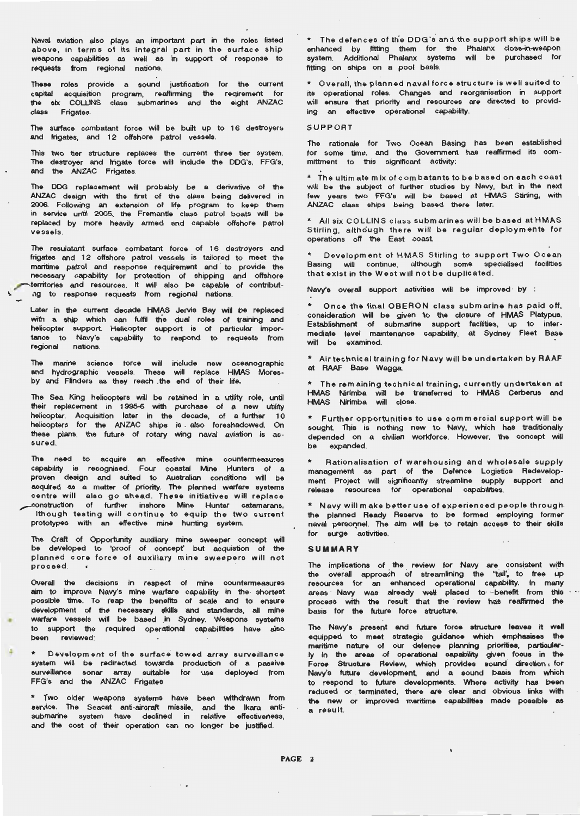Naval aviation also plays an important part in the roles listed above, in terms of its integral part in the surface ship weapons capabilities as well as in support of response to requests from regional nations.

These roles provide a sound justification for the current capital acquisition program, reaffirming the reqirement for the six COLLINS class submarines and the eight ANZAC class Frigates.

The surface combatant force will be built up to 16 destroyers and frigates, and 12 offshore patrol vessels.

This two tier structure replaces the current three tier system. The destroyer and frigate force will include the DDG's, FFG's, and the ANZAC Frigates.

The DDG replacement will probably be a derivative of the ANZAC design with the first of the olass being delivered in 2006. Following an extension of life program to keep them in service until 2005, the Fremantle class patrol boats will be replaced by more heavily armed and capable offshore patrol vessels .

The resulatant surface combatant force of 16 destroyers and frigates and 12 offshore patrol vessels is tailored to meet the maritime patrol and response requirement and to provide the necessary capability for protection of shipping and offshore erritories and resources . It will also be capable of contributag to response requests from regional nations.

Later in the current decade HMAS Jervis Bay will be replaced with a ship which can fulfil ttie dual roles of training and helicopter support . Helicopter oupport is of particular importance to Navy's capability to reopond to requests from regional nations.

The marine science force will include new oceanographi and hydrographic vessels . These will replace HMAS Moresby and Flinders as they reach . the end of their life.

The Sea King helicopters will be retained in a utility role, until their replacement in 1995-6 with purchase of a new utility helicopter. Acquisition later in the decade, of a-further 10 helicopters for the ANZAC ships is . also foreshadowed . On these plans, the future of rotary wing naval aviation is assured .

The need to acquire an effective mine countermeasure: capability is recognised . Four coastal Mine Hunters of a proven design and suited to Australian conditions will be acquired as a matter of priority. The planned warfare systems centre will also go ahead. These initiatives will replace ~ onstruction of further inshore Mine Hunter catamarans, Ithough testing will continue to equip the two current prototypes with an effective mine hunting system.

The Craft of Opportunity auxiliary mine sweeper concept will be developed to 'proof of concept' but acquistion of the planned core force of auxiliary mine sweepers will not proceed .

Overall the decisions in respect of mine countermeasure aim to improve Navy's mine warfare capability in the shortest possible time . To reap the benefits of scale and to ensure development of the necessary skills and standards, all mine warfare vessels will be based in Sydney. Weapons systems to support the required operational capabilities have also been reviewed:

Development of the surface towed array surveillance system will be redirected towards production of a passive surveillance sonar array suitable for use deployed from FFG's and the ANZAC Frigates

\* Two older weapons systems have service . The Seacat anti-aircraft missile, submarine system have declined in and the cost of their operation can no been and withdrawn from the lkara antirelative effectiveness, longer be justified.

\* The defences of the DDG's and the support ships will be enhanced by fitting them for the Phalanx close-in-weapon system. Additional Phalanx systems will be purchased for fitting on ships on a pool basis.

\* Overall, the planned nava l force structure is well suited to its operational roles. Changes and reorganisation in support will ensure that priority and resources are directed to providing an effective operational capability.

#### SUPPORT

The rationale for Two Ocean Basing has been established for some time, and the Government has reaffirmed its committment to this significant activity:

\* The ultimate mix of combatants to be based on each coast will be the subject of further studies by Navy, but in the next few years two FFG's will be based at HMAS Stirling, with ANZAC class ships being based there later.

\* All six COLLINS c las s submarines will be based at H MAS Stirling, although there will be regular deployments for operations off the East coast.

Development of HMAS Stirling to support Two Ocean Basing will continue, although some specialised facilities that exist in the West will not be duplicated.

Navy's overall support activities will be improved by :

\* Once the final OBERON class submarine has paid off, consideration will be given to the closure of HMAS Platypus. Establishment of submarine support facilities, up to intermediate level maintenance capability , at Sydney Fleet Base will be examined.

\* Air technical training for Navy will be undertaken by RAAF at RAAF Base Wagga

\* The remaining technical training, currently undertaken at HMAS Nirimba will be tranoferred to HMAS Cerberus and HMAS Nirimba will close.

\* Further opportunities to use commercial supportwill be sought Thie is nothing new to Navy, which has traditionally depended on a civilian workforce . However, the concept will be expanded.

\* Rationalisation of warehousing and wholesale supply management as part of the Defence Logistics Redevelopment Project will significantly streamline supply support and release resources for operational capabilities.

\* Navy will make better use of experien c ed people through . the planned Ready Reserve to be formed employing former naval personnel. The aim will be to retain access to their skills for surge activities.

#### **SUMMARY**

The implications of the review for Navy are consistent with the overall approach of streamlining the "tail', to free up resources tor an enhanced operational capability . In many areas Navy was already well placed to benefit from this process with the result that the review has reaffirmed the basis tor the future force structure.

The Navy's present and future force structure leaves it well equipped to meet strategic guidance which emphasises the maritime nature of our defence planning priorities, particular - .ly in the areae of operational c.apability given tocus in the Force Structure Review, which provides sound direction, for Navy's future development, and a sound basis from which to respond to future developments . Where activity has been reduced or terminated, there are clear and obvious links with the new or improved maritime capabilities made possible as a resu It.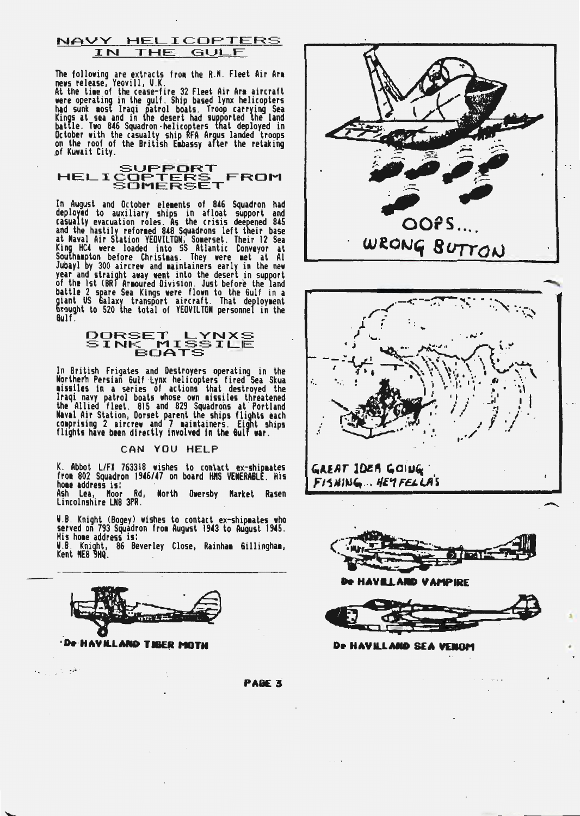NAVY HELICOPTERS IN THE GULF

The following are extracts from the R.N. Fleet Air Arm<br>news release, Yeovill, U.K.<br>At the time of the cease-fire 32 Fleet Air Arm aircraft

He was the community of the same of the same of the separation and such that and such a kings at sea and in the desert had supported the land battle. Two 846 Squadron -helicopters that deployed in October with the casualty

HELICOPTERS FROM<br>HELICOPTERS FROM

In August and October elements of 846 Squadron had<br>deployed to auxiliary ships in afloat support and<br>casualty evacuation roles. As the crisis deepened 845<br>and the hastily reformed 848 Squadrons left their base<br>at Naval Air  $6u$ lf.

# DORSET LYNXS<br>SINK MISSILE<br>BOATS

In British Frigates and Destroyers operating in the<br>Norther's Persian Gulf Lynx helicopters fired Sea Skua<br>aissiles in a series of actions that destroyed the<br>Iraqi navy patrol boats whose own missiles threatened<br>the Allied

#### CAN YOU HELP

K. Abbot L/FX 763318 wishes to contact ex-shipmates<br>from 802 Squadron 1946/47 on board HMS VENERABLE. His home address is: North Owersby Market Rasen

Ash Lea, Moor Rd,<br>Lincolnshire LN8 3PR.

W.B. Knight (Bogey) wishes to contact ex-shipmates who<br>served on 793 Squadron from August 1943 to August 1945. His home address is: W.B. Knight, 86 Beverley Close, Rainham Gillingham,<br>Kent ME8 9HQ.



في المرار

 $\ddot{\phantom{a}}$ 







**De HAVELAND VAMPIRE** 

De HAVILLAND SEA VEHOM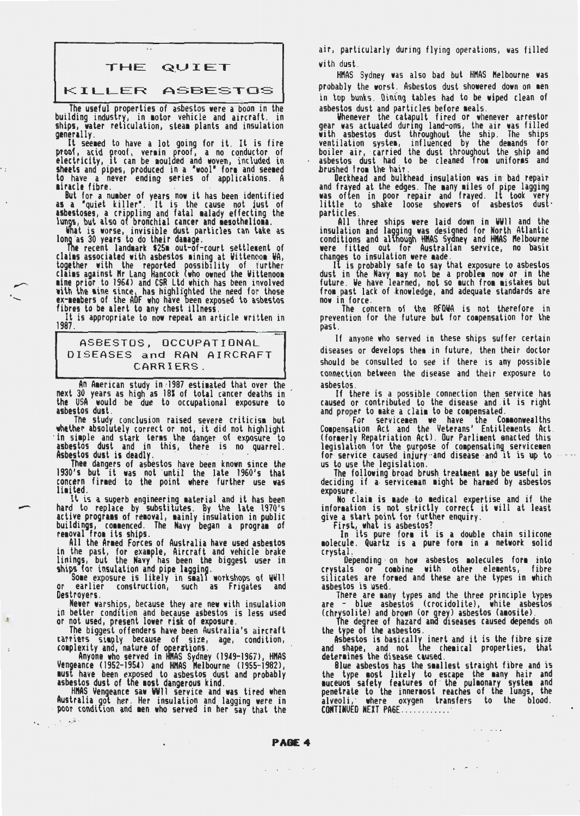# THE QUIET

#### KILLER ASBESTOS

The useful properties of asbestos were a boon in the building industry, in motor vehicle and aircraft. in ships, water reticulation, steam plants and insulation

generally.<br>It seemed to have a lot going for it. It is fire proof, acid proof, vermin proof, a no conductor of<br>electricity, it can be moulded and woven, included in sheets and pipes, produced in a 'wool' form and seemed to have a never ending series of applications. A

miracle fibre.<br>But for a number of years now it has been identified as a "quiet killer". It is the cause not just of<br>asbestoses, a crippling and fatal malady effecting the

lungs, but also of bronchial cancer and mesothelioma.<br>What is worse, invisible dust particles can take as<br>long as 30 years to do their damage.<br>The recent landmark \$251 out-of-court settlement of

clains associated with asbestos mining at Wittencom WA, together with the reported possibllity of further claims against Mr Lang Hancock (who owned the Wittenoom<br>mine prior to 1964) and CSR Ltd which has been involved with the mine since, has highlighted the need for those ex-members of the ADF who have been exposed to asbestos<br>fibres to be alert to any chest illness.<br>. It is appropriate to now repeat an article written in

It is appropriate to now repeat an article written in<br>1987.

# ASBESTOS, OCCUPATIONAL DISEASES and RAN AIRCRAFT CARRIERS.

An American study in 1987 estimated that over the next 30 years as high as 181 of total cancer deaths in the USA would be due to occupational exposure to

asbestos dust.<br>The study conclusion raised severe criticism but whether absolutely correct or not, it did not highlight<br>in simple and stark terms the danger of exposure to<br>asbestos dust and in this, there is no quarrel.

Asbestos dust is deadly.<br>· . Thee dangers of asbestos have been known since the 1930's but it was not until the late 1960's that concern firmed to the point where further use was limited.

It is a superb engineering material and it has been hard to replace by substitutes. By the late 1970's<br>active programs of removal, mainly insulation in public buildings, commenced. The Navy began a program of<br>removal from its ships.<br>. All the Armed Forces of Australia have used asbestos

in the past, for example, Aircraft and vehicle brake linings, but the Navy has been the biggest user in ships for insulation and pipe lagging.<br>Some exposure is likely in small workshops of WWII

or earlier construction, such as Frigates and<br>Destroyers.<br>Newer-warships, because they are new with insulation<br>in better condition and because asbestos is less used in better condition and because asbestos is less used<br>or not used, present lower risk of exposure.<br>The biggest offenders have been Australia's aircraft

carriers simply because of size, age, condition,<br>complexity and, nature of operations.<br>. Anyone who served in HNAS Sydney (1949–1967), HMAS

Vengeance (1952-1954) and HNAS Nelbourne (1955-1982), must have been exposed to asbestos dust and probably<br>asbestos dust of the most dangerous kind.<br>. HMAS Vengeance saw WVII service and was tired when

Australia got her. Her insulation and lagging were in<br>· poor condition and men who served in her say that the

.  $, +$ ; $+$ 

air, particularly during flying operations, was filled with dust.

HMAS Sydney was also bad but HMAS Melbourne was probably the worst. Asbestos dust showered down on men in top bunks. Dintng tables had to be wiped clean of

asbestos dust and particles before meals.<br>Whenever the catapult fired or whenever arrestor<br>gear was actuated during land-ons, the air was filled with asbestos dust throughout the ship. The ships<br>ventilation system, influenced by the demands for boiler air, carried the dust throughout the ship and asbestos dust had to be cleaned from uniforms and

brushed from the hair.<br>Oeckhead and bulkhead insulation was in bad repair and frayed at the edges. The many miles of pipe lagging was often in poor repair and frayed. It took very<br>little to shake loose showers of asbestos dust<br>particles. All three ships were laid down in WWII and the

insulation and lagging was designed for North Atlantic conditions and although HNAS Sydney and HNAS Melbourne were fitted out for Australian service, no basic

changes to insulation were made.<br>11 is probably safe to say that exposure to asbestos<br>dust in the Navy may not be a problem now or in the future. We have learned, not so much from mistakes but from past lack of knowledge, and adequate standards are

now in force. The concern of the RFDWA is not therefore in prevention for the future but for compensation for the past.

If anyone who served in these ships suffer certain diseases or develops them in future, then their doctor should be consulted to see if there is any possible connection between the disease and their exposure to asbestos.

If there is a possible connection then service has caused or contributed to the disease and it is right and proper to make a claim to be compensated.

Compensation Act and the Veterans' Entitlements Act.<br>Compensation Act and the Veterans' Entitlements Act.<br>(formerly Repatriation Act). Our Parliment enacted this legislation for the purpose of compensating servicemen<br>for service caused injury and disease and it is up to<br>us to use the legislation.<br>The following broad brush treatment may be useful in<br>deciding if a serviceman might be

Wo claim is made to medical expertise and if the information is not strictly correct it will at least

give a start point for further enquiry.<br>First, what is asbestos?<br>In its pure form it is a double chain silicone<br>nolecule. Quartz is a pure form in a network solid crystal .

Depending· on how asbestos 1olecules for1 into crystals or combine with other elements, fibre<br>silicates are formed and these are the types in which

asbestos is used.<br>There are many types and the three principle types are - blue asbestos (crocidolite), white asbestos

(chrysolite) and brown (or grey) asbestos (amosite).<br>The degree of hazard and diseases caused depends on<br>the type of the asbestos.<br>Asbestos is basically inert and it is the fibre size

and shape, and not the chemical properties, that determines the disease caused.

Blue asbestos has the smallest straight fibre and is<br>the type most likely to escape the many hair and muceuos safety features of the pulmonary system and<br>penetrate to the innermost reaches of the lungs, the alveoli, where oxygen transfers to the blood.<br>CONTINUED.NEXT.PAGE.............

**PAGE 4** 

program of the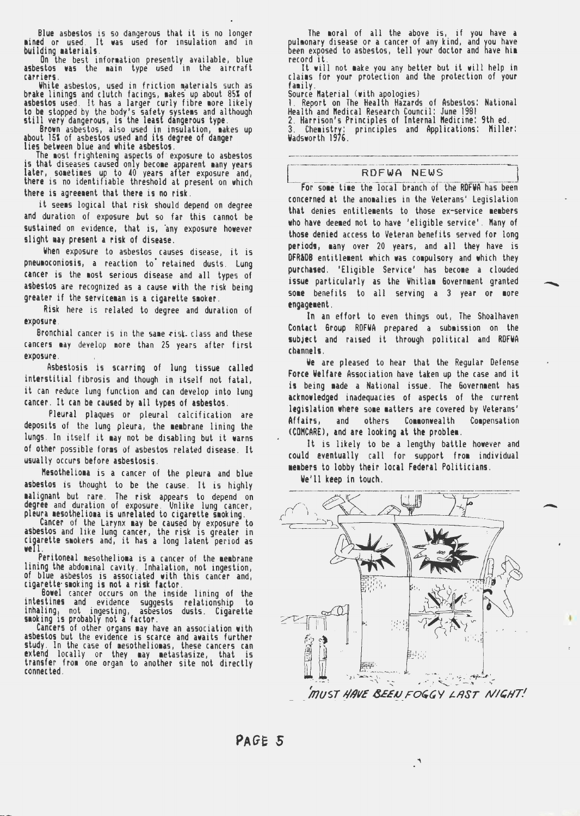Blue asbestos is so dangerous that it is no longer mined or used. It was used for insulation and in<br>building materials.

On the best information presently available, blue asbestos was the main type used in the aircraft<br>carriers.

White asbestos, used in friction materials such as brake linings and clutch facings, makes up about 85% of asbestos used. It has a larger curly fibre more likely<br>to be stopped by the body's safety systems and although<br>still very dangerous, is the least dangerous type

Brown asbestos, also used in insulation, makes up<br>about 15% of asbestos used and its degree of danger<br>lies between blue and white asbestos.<br>The most frightening aspects of exposure to asbestos<br>is that discusses caused only there is agreement that there is no risk.

it seems logical that risk should depend on degree and duration of exposure but so far this cannot be sustained on evidence, that is, any exposure however slight may present a risk of disease.

When exposure to asbestos causes disease, it is pneumoconiosis, a reaction to retained dusts. Lung cancer is the most serious disease and all types of asbestos are recognized as a cause with the risk being greater if the serviceman is a cigarette smoker.

Risk here is related to degree and duration of exposure.

Bronchial cancer is in the same risk. class and these cancers may develop more than 25 years after first exposure.

Asbestosis is scarring of lung tissue called interstitial fibrosis and though in itself not fatal, it can reduce lung function and can develop into lung cancer. It can be caused by all types of asbestos.

Pleural plaques or pleural calcification are deposits of the lung pleura, the membrane lining the lungs. In itself it aay not be disabling but it warns of other possible forms of asbestos related disease. It usually occurs before asbestosis.

Mesothelioma is a cancer of the pleura and blue asbestos is thought to be the cause. It is highly malignant but. rare. The risk appears to depend on degree and duration of exposure. Unlike lung cancer, pleura 1esotheliona is unrelated to cigarette smoking.<br>pleura mesotheliona is unrelated to cigarette smoking.<br>Cancer o

asbestos and like lung cancer, the risk 1s greater in cigarette smokers and, it has a long latent period as we! 1.

Peritoneal mesothelioma is a cancer of the membrane lining the abdominal cavity. Inhalation, not ingestion, of blue asbestos is associated with this cancer and, cigarette·smoking is not a risk factor.<br>Bowel cancer occurs on the inside lining of the intestines and evidence s

evidence suggests relationship to<br>ingesting, asbestos dusts. Cigarette inhaling, not ingesting, asbestos dusts. Cigarette s1oking 1s probably not a factor. . . . Cancers of other organs 1ay have an assoc~at1on with

asbestos but the evidence is scarce and awaits further<br>study. In the case of mesotheliomas, these cancers can study. In the case of mesotheliomas, these cancers can<br>extend locally or they may metastasize, that is transfer from one organ to another site not directly<br>connected.

The moral of all the above is, if you have a pulmonary disease or a cancer of any kind, and you have been exposed to asbestos, tell your doctor and have him record it.

It will not make you any better but it will help in<br>claims for your protection and the protection of your family.<br>Source Material (with apologies)<br>1. Report on The Health Hazards of Asbestos: National

---- ..... -··-··---··--·---

Health and Medical Research Council: June 1981<br>2. Harrison's Principles of Internal Medicine: 9th ed.

3. Chemistry: principles and Applications: Miller:<br>Wadsworth 1976.

#### RDFWA NEWS

For some time the local branch of the RDFWA has been concerned at the anomalies in the Veterans' Legislation that denies entitlements to those ex-service members who have deemed not to have 'eligible service'. Many of those denied access to Veteran benefits served for long periods, many over 20 years, and all they have is OFR&DB entitlement which was compulsory and which they purchased. 'Eligible Service' has become a clouded issue particularly as the Whitlam Government granted some benefits to all serving a 3 year or more engagement.

In an effort to even things out, The Shoalhaven Contact Group ROFWA prepared a subaission on the subject and raised it through political and ROFWA cbannels.

We are pleased to hear that the Regular Defense Force Welfare Association have taken up the case and it is being made a National issue. The Government has acknowledged inadequacies of aspects of the current legislation where some matters are covered by Veterans' Affairs, and others Commonwealth Compensation (COMCARE), and are looking at the problea.

It is likely to be a lengthy battle however and could eventually call for support from individual aeabers to lobby their local Federal Politicians.

We'll keep in touch.

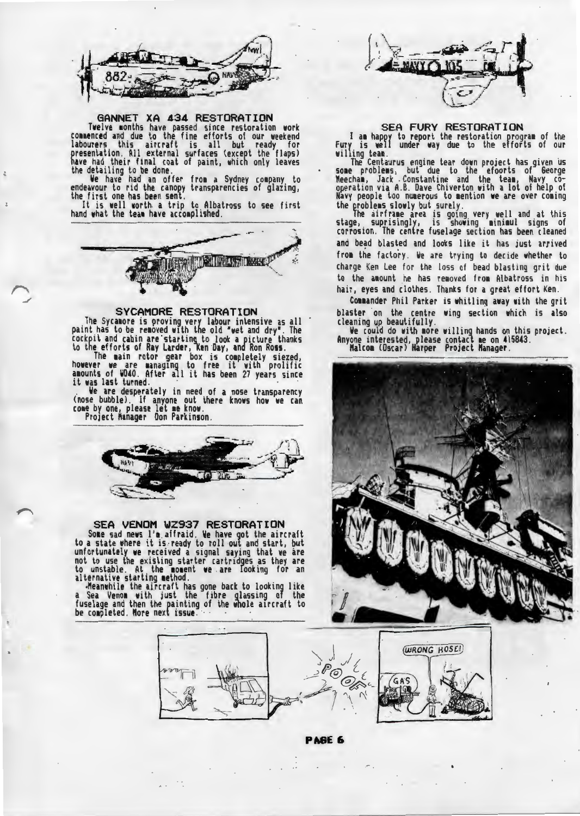

#### GANNET XA 434 RESTORATION

Twelve months have passed since restoration work commenced and due to the fine efforts of our weekend labourers this aircraft is all but ready for presentation. All external surfaces (except the flaps) have had their final coat of paint, which only leaves the detailing to be done.<br>We have had an offer from a Sydney company to

endeavour to rid the canopy transparencies of glazing, the first one has been sent.

It is well worth a trip to Albatross to see first<br>hand what the team have accomplished.



#### SYCAMORE RESTORATION

The Sycanore is proving very labour intensive as all paint has to be renoved with the old "wet and dry". The cockpit and cabin are·starting\_ to look a picture thanks

to the efforts of Ray Larder, Ken Day, and Ron Ross.<br>The main rotor gear box is completely siezed,<br>however we are managing to free it with prolific<br>amounts of WD40. After all it has been 27 years since<br>it was last turned.<br>

(nose bubble). If anyone out there knows how we can<br>come by one, please let me know.<br>Project Manager Don Parkinson.



# SEA VENOM WZ937 RESTORATION

Some sad news l'm affraid. We have got the aircraft<br>to a state where it is,ready to roll out and start, but<br>unfortunately we received a signal saying that we are not to use the existing starter cartridges as they are to unstable. At the noment we are looking for an alternative starting nethod. ,Meanwhile the aircraft has gone back to looking like

a Sea Venom with just the fibre glassing of the<br>fuselage and then the painting of the whole aircraft to be co1pleted. Nore next issue. · · · · ·-···--- -.......... ,,.--- ·-·-·-·- -·- -- ----" ""- ·--·---·--·---·--· .. ·------~~~~~



## SEA FURY RESTORATION

I am happy to report the restoration program of the Fury is well under way due to the efforts of our willing team.<br>The Centaurus engine tear down project has given us

some problems, but due to the efoorts of George<br>Meecham, Jack .Constantine and the team, Navy co-<br>operation via A.B. Dave Chiverton with a lot of help of Navy people too numerous to mention we are over coming<br>the problems slowly but surely.<br>The airframe area is going very well and at this

stage, suprisingly, is showing minimul signs of corrosion. The centre fuselage section has been cleaned and bead blasted and looks like it has just arrived from the factory. We are trying to decide whether to charge Ken Lee for the loss of bead blasting grit due to the amount he has removed from Albatross in his hair, eyes and clothes. Thanks for a great effort Ken.

Commander Phil Parker is whitling away with the grit blaster on the centre wing section which is also

cleaning up beautifully.<br>We could do with nore willing hands on this project.<br>Anyone interested, please contact ne on 415843.<br>"Malcon (Oscar) Harper Project Manager.



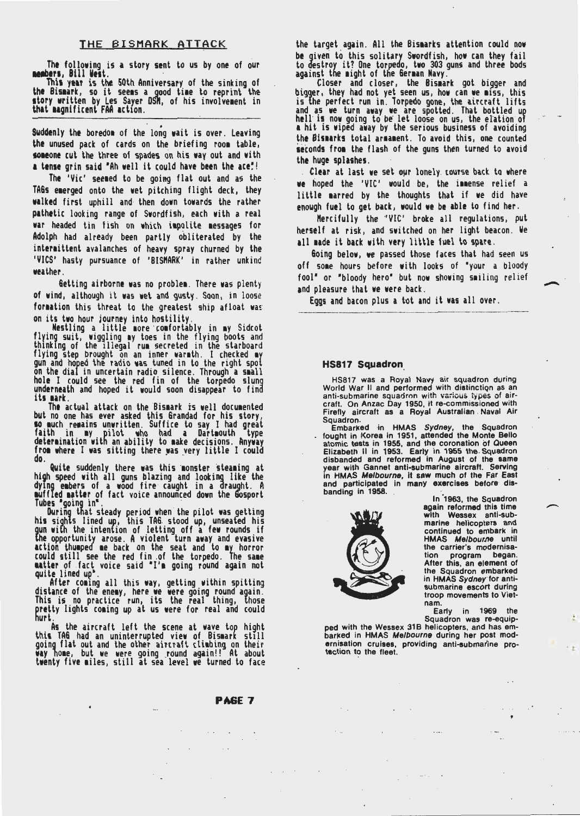#### THE BISMARK ATTACK

The following is a story sent to us by one of our **neabers, Bill West.**<br>11tler1, Bill West. · This year is the 50th Anniversary of the sinking of<br>11the Bismark, so it seems a good time to reprint the story written by Les Sayer OSM, of his involvement in that 1agnificent FAA action.

Suddenly the boredom of the long wait is over. Leaving the unused pack of cards on the briefing room table, someone cut the three of spades on his way out and with a tense grin said "Ah well it could have been the ace"!

The 'Vic' seemed to be going flat out and as the TAGs emerged onto the wet pitching flight deck, they walked first uphill and· then down towards the rather pathetic looking range of Swordfish, each with a real war headed tin fish on which impolite messages for Adolph had already been partly obliterated by the intermittent avalanches of heavy spray churned by the 'VICS' hasty pursuance of 'BISMARK' in rather unkind weather.

Getting airborne was no problem. There was plenty of wind, although it was wet and gusty. Soon, in loose: formation this threat to the greatest ship afloat was

on its two hour journey into hostility.<br>... Nestling a little more comfortably in my Sidcot flying suit, wiggling my toes in the flying boots and<br>thinking of the illegal rum secreted in the starboard flying step brought on an inner warmth. I checked my gun and hoped the radio was tuned in to the right spot<br>on the dial in uncertain radio silence. Through a small hole I could see the red fin of the torpedo slung underneath and hoped it would soon disappear to find its mark. The actual attack on the Bismark is well documented

but no one has ever asked this Grandad for his story,<br>10 much remains unwritten. Suffice to say I had great<br>faith in 1w pilot who had a Dartmouth type<br>determination with an ability to nake decisions. Anyway do. from where I was sitting there was very little I could

Quite suddenly there was this monster steaming at high speed with all guns blazing and looking like the dying embers of a wood fire caught in a draught. A

muffled matter of fact voice announced down the Gosport<br>Tubes •going in".<br>· During that steady period when the pilot was getting<br>his sights lined up, this TAG stood up, unseated his gun wi[h the intention of letting off a few rounds if ihe opportunity arose. A violent turn away and evasive action thumped me back on the seat and to my horror<br>could still see the red fin .of the torpedo. The same

**matter** of fact voice said "I'm going round again not<br>quite lined up".<br>After coming all this way, getting within spitting<br>distance of the enemy, here we were going round again.<br>This is no practice run, its the real thing, pretty lights coming up at us were for real and could hurt.

As the aircraft left the scene at wave top hight<br>this TAG had an uninterrupted view of Bismark still going flat out and the other aircraft climbing on their way home, but we were going round again!! At about twenty five miles, still at sea level we turned to face

PAGE 7

the target again. All the Bismarks attention could now be given to this solitary Swordfish, how can they fail to destroy it? One torpedo, two 303 guns and three bods<br>against the might of the German Navy.

digger, the existence of the extreme wark and closer and closer, the Bismark got bigger and bigger, they had not yet seen us, how can we miss, this is the perfect run in. Torpedo gone, the aircraft lifts and as we turn away we are spotted. That bottled up<br>hell is now going to be let loose on us, the elation of **a** hit is wiped away by the serious business of avoiding the Bismarks total armament. To avoid this, one counted seconds from the flash of the guns then turned to avoid the huge splashes.

Clear at last we set our lonely course back to where we hoped the 'VIC' would be, the immense relief a little marred by the thoughts that if we did have enough fuel to get back, would we be able to find her.

Mercifully the 'VIC' broke all regulations, put herself at risk, and switched on her light beacon. We all made it back with very little fuel to spare.

Going below, we passed those faces that had seen us off some hours before with looks of "your a bloody fool" or "bloody hero" but now showing smiling relief and pleasure that we were back.

Eggs and bacon plus a tot and it was all over.

#### **HS817 Squadron**

HSB 17 was a Royal Navy air squadron during World War II and performed with distinction as an<br>anti-submarine squadron with various types of aircraft. On Anzac Day 1950, it re-commissioned with<br>Firefly aircraft as a Royal Australian Naval Air Squadron.<br>Embarked in HMAS *Sydney,* the Squadron

fought in Korea in 1951, attended the Monte Bello atomic tests in 1955, and the coronation of Queen Elizabeth II in 1953 . Early in. 1955 the . Squadron disbanded and reformed in August of the same year with Gannet anti-submarine aircraft. Serving in HMAS Melbourne, it saw much of the Far East and participated in many exercises before disbanding in 1958.



In 1963, the Squadron again reformed this time with Wessex anti-submarine helicopters and continued to embark in HMAS Melbourne until the carrier's modernisa-<br>tion program began. After this, an element of the Squadron embarked in HMAS Sydney for antisubmarine escort during troop movements to Vietnam.

Early in 1969 the Squadron was re-equip-

×

ped with the Wessex 31B helicopters, and has embarked in HMAS Melbourne during her post modernisation cruises, providing anti-submarine protection to the fleet.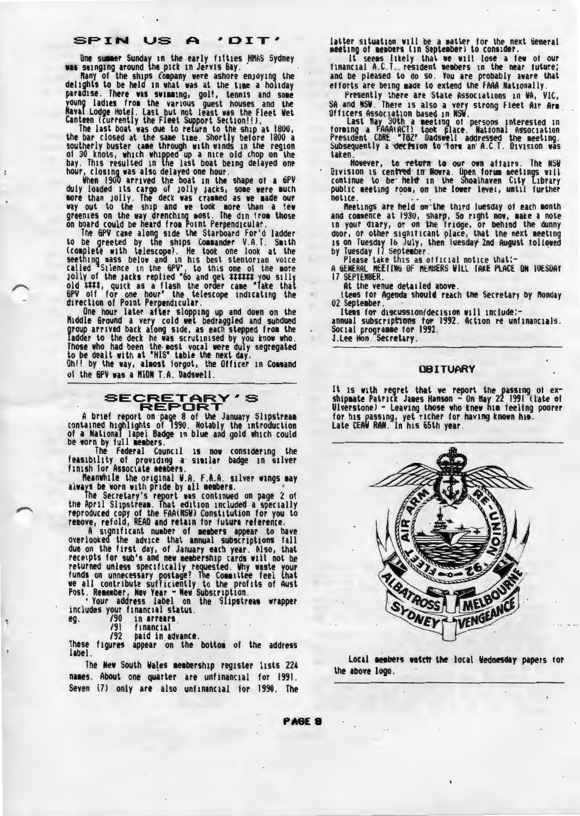One summer Sunday in the early fifties HNAS Sydney was swinging around the pick in Jervis Bay. . Nany of the ships fompany were ashore enjoying the delights to be held in what was at the time a holiday delights to be held in what was at the time a holiday<br>paradise. There was swimming, golf, tennis and some young ladies from the various guest houses and the<br>Naval Lodge Hotel. Last but not least was the Fleet Wet Canteen (currently the Fleet Support Section!!).

The last boat was due to return to the ship at 1800,<br>the bar closed at the same time. Shortly before 1800 a<br>southerly buster came through with winds in the region<br>of 30 knots, which whipped up a nice old chop on the<br>bay. T hour, closing was also delayed one hour. . When 190'0 arrived the boat in the shape of a GPY

duly loaded its cargo of jolly jacks, some were much nore than jolly. The deck was cranned as we nade our way out to the ship and we took more than a few greenies on the way drenching most. The din from those

on board could be heard from Point Perpendicular.<br>The GPV came along side the Starboard For'd ladder to be greeted by the ships Commander V.A.T. Smith (complete with telescope). He took one look at the seething mass below and in his best stentorian voice called "Silence in the GPV", to this one of the more<br>Jolly of the Jacks replied "Go and get ###### you silly<br>old ####, quick as a flash the order came "Take that 6PV off for one hour° the telescope indicating the<br>direction of Point Perpendicular.<br>One hour later after slopping up and down on the

N1ddlt Ground a very cold wet bedraggled and subdued group arrived back along side, as each stepped from the<br>ladder to the deck he was scrutinised by you know who.<br>Those who had been the-most vocal were duly segregated to be dealt with at "HIS" table the next day. The dealt with at "HIS" table the next day. The command

of the SPY was a NION T.A. Dadswell.



A brief report on page 8 of the January Slipstream<br>contained highlights of 1990. Notably the introduction of a National lapel Badge 1n blue and gold which could be worn by full members.

The Federal Council is now considering the feasibility of providing a similar badge in silver<br>finish for Associate members.

finish for Associate members.<br>1. · Neanwhile the original W.A. F.A.A. silver wings may<br>always be worn with pride by all members.

The Secretary's report was continued on page 2 of the April Slipstream. That edition included a specially reproduced copy of the FAA(NSW) Constitution for you to<br>remove, refold, READ and retain for future reference.

A significant number of members appear to have overlooked the advice that annual subscriptions fall<br>due on the first day, of January each year. Also, that receipts for sub's and new membership cards will not be returned unless specifically requested. Why waste your funds on unnecessary postage? The Commattee feel that we all contribute sufficiently to the profits of Aust

Post. Remember, New Year - New Subscription.<br>• Your address ...label on the Slipstream wrapper<br>includes your financial status. includes your financial status.<br>eg. /90 in arrears.<br>/91 financial<br>/92 paid in advance.

These figures appear on the bottom of the address label.

The New South Wa!es aeabersh1p register lists 22t names. About one quarter are unfinancial for 1991. Seven (7) only are also unfinancial for 1990. The

latter situation will be a matter for the next General<br>meeting of members (in September) to consider.

It seems likely that we will lose a few of our financial A.C.T., resident members in the near future; and be pleased to do so. You are probably aware that efforts are being 1ade to extend the FAAA Nationally. Presently there are State Associations 1n WA, VIC,

SA and NSV. There 1s also a very strong Fleet Air Ari Officers Association based in NSW.<br>· last May 30th a meeting of persons interested in

forming a FAAA(ACT) took place. National Agsociation<br>President CDRE "TOZ" Dadswell addressed the meeting.<br>Subsequently a-<del>decision</del> to form an A.C.T. Division was taken.

However, to return to our own affairs. The NSW Division is cen**tred in Nowra**. Open forum meetings will continue to be held in the Shoalhaven City Library<br>public meeting room, on the lower level, until further notice.<br>Reetings are held on the third luesday of each month

and commence at 1930, sharp, So right now, make a note in your diary, or on the fridge, or behind the dunny<br>door, or other signiticant place, that the next meeting<br>1s on Tuesday lb July, then Tuesday 2nd August tollowed by Tuesday 17 September.<br>Please take this as official notice that:-

A 6ENERAL IIEEIN6 OF ftEftBERS Will TAKE PLACE ON IUESOAY

17 SEPTEMBER.<br>At the venue detailed above.<br>litems for Agenda should reach the Secretary by Monday<br>02 September.<br>Items for discussion/decision will include:-

annual subscrip**tions for 1992. Action re unfinancials.**<br>Social programme for 1992.<br>J.<u>Lee Hon</u>. Secretary.

#### OBITUARY

It is with regret that we report the passing of exshipmate Patrick James Hanson - On May 22 1991 (late of Ulverstone) - Leaving those who knew him feeling poorer<br>for his passing, yet richer for having known him. late CEAW RAN. In his 65th year.



Local members watch the local Wednesday papers for the above logo.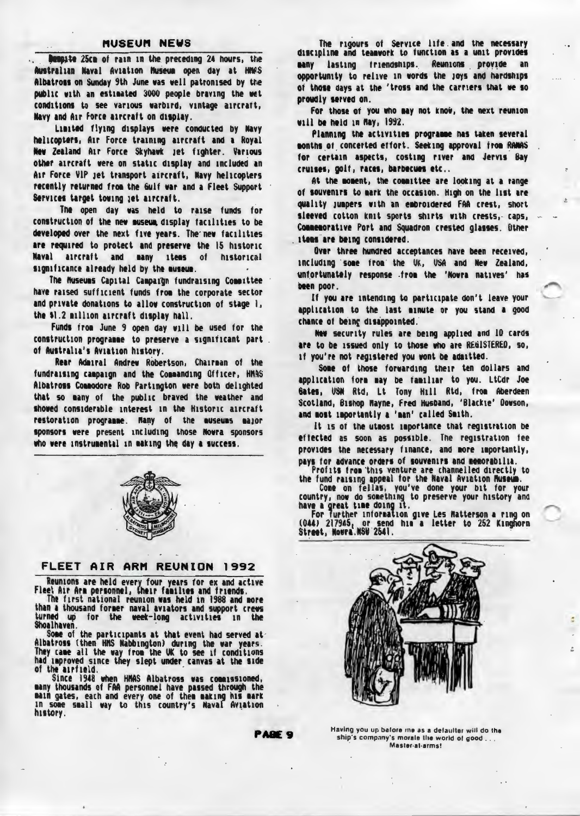#### **MUSEUM NEWS**

bespite 25cm of rain in the preceding 24 hours, the Australian Naval Aviation Nuseum open day at HNWS Albatross on Sunday 9th June was well patronised by the public with an estimated 3000 people braving the wet conditions to see various warbird, vintage aircraft, Navy and Air Force aircraft on display.

Limited flying displays were conducted by Navy helicopters, Air Force training aircraft and a Royal New Zealand Air Force Skyhawk jet fighter. Various other aircraft were on static display and included an Air Force VIP jet transport aircraft, Navy helicopters recently returned from the Gulf war and a Fleet Support Services target towing jet aircraft.

The open day was held to raise funds for construction of the new museum, display facilities to be developed over the next five years. The new facilities are required to protect and preserve the 15 historic Naval atroraft and many ttems of historical significance already held by the museum.

The Museums Capital Campaign fundraising Committee have raised sufficient funds from the corporate sector and private donations to allow construction of stage 1, the \$1.2 million aircraft display hall.

Funds from June 9 open day will be used for the construction programme to preserve a significant part. of Australia's Aviation history.

Rear Admiral Andrew Robertson, Chairman of the fundraising campaign and the Commanding Officer, HMAS Albatross Commodore Rob Partington were both delighted that so many of the public braved the weather and shoved considerable interest in the Historic aircraft restoration programme. Hany of the museums major sponsors were present including those Nowra sponsors who were instrumental in making the day a success.



#### FLEET AIR ARM REUNION 1992

Reunions are held every four years for ex and active<br>Fleet Air Arm personnel, their families and friends.

The first national reunion was held in 1988 and more than a thousand former naval aviators and support crews turned up for the week-long activities in Shoalhaven.

Some of the participants at that event had served at-Albatross (then HMS Nabbington) during the war years.<br>They cane all the way from the UK to see if conditions<br>had improved since they slept under canvas at the side of the airfield.

Since 1948 when HMAS Albatross was commissioned,<br>many thousands of FAA personnel have passed through the<br>main gates, each and every one of them making his mark In some small way to this country's Maval Aviation history.

The rigours of Service life and the necessary discipline and teamwork to function as a unit provides lasting friendships. Reunions provide an **BANY** opportunity to relive in words the joys and hardships of those days at the 'tross and the carriers that we so proudly served on.

For those of you who may not know, the next reunion will be held in May, 1992.

Planning the activities programme has taken several months of concerted effort. Seeking approval from RANAS for certain aspects, costing river and Jervis Bay cruises, golf, races, barbecues etc..

At the moment, the committee are looking at a range of souvenirs to mark the occasion. High on the list are quality jumpers with an embroidered FAA crest, short sleeved cotton knit sports shirts with crests, caps, Connemorative Port and Squadron crested glasses. Other items are being considered.

Over three hundred acceptances have been received, including some from the UK, USA and New Zealand, unfortunately response from the 'Nowra natives' has been poor.

If you are intending to participate don't leave your application to the last minute or you stand a good chance of being disappointed.

New security rules are being applied and ID cards are to be issued only to those who are REGISTERED, so, if you're not registered you wont be admitted.

Some of those forwarding their ten dollars and application form may be familiar to you. LtCdr Joe Gates, USM Rtd, Lt Tony Hill Rtd, from Aberdeen Scotland, Bishop Mayne, Fred Husband, 'Blackie' Dowson, and most importantly a 'man' called Smith.

It is of the utmost importance that registration be effected as soon as possible. The registration fee provides the necessary finance, and more importantly, pays for advance orders of souvenirs and memorabilia.

Profits from this venture are channelled directly to

the fund raising appeal for the Naval Aviation Russum.<br>Country, now do something to preserve your bit for your<br>next speed time doing to preserve your history and<br>have a great time doing it.<br>For further information give Les

(044) 217945, or send him a letter to 252 Kinghorn<br>Street, Nowra.NSW 2541.



PABE<sub>9</sub>

Having you up before me as a defaulter will do the ship's company's morals the world of good...<br>Master-at-arms!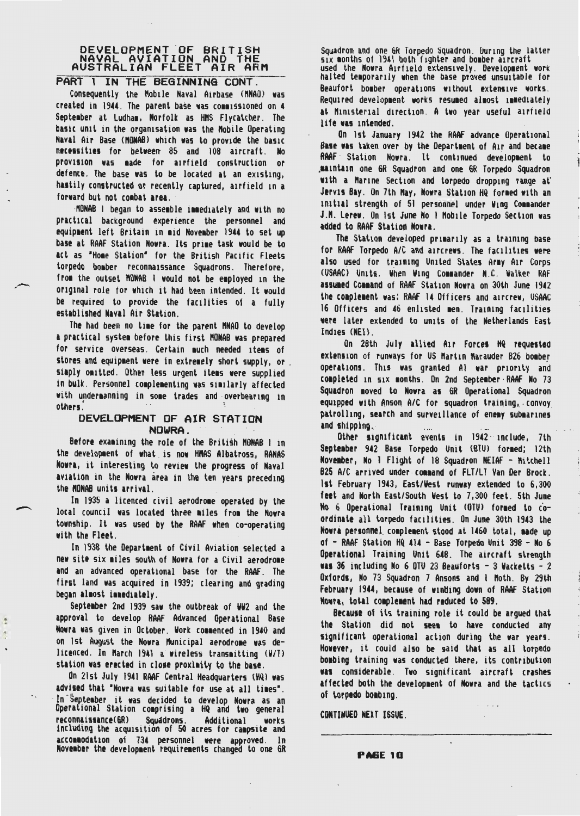# DEVELOPMENT OF BRITISH<br>NAVAL AVIATION AND THE NAVAL AVIATION AND THE<br>AUSTRALIAN FLEET AIR ARM

### PART I IN THE BEGINNING CONT.

Consequently the Mobile Naval Airbase (MNAO) was created in 1944. The parent base was commissioned on 4 September at Ludham, Norfolk as HMS Flycatcher. The basic unit in the organisation was the Mobile Operating Naval Air Base (MONAB) which was to provide the basic necessities for between 85 and 108 aircraft. No provision was made for airfield construction or defence. The base was to be located at an existing, hastily constructed or recently captured, airfield in a forward but not combat area.

MONAB I began to assemble immediately and with no practical background experience the personnel and equipment left Britain in mid November 1944 to set up base at RAAF Station Nowra. Its prime task would be to act as "Home Station" for the British Pacific Fleets torpedo bomber reconnaissance Squadrons. Therefore, from the outset MONAB i would not be employed in the original role for which it had been intended. It would be required to provide the facilities of a fully established Naval Air Station.

The had been no time for the parent MNAO to develop a practical system before this first MONAB was prepared for service overseas. Certain much needed items of stores and equipment were in extremely short supply, or. siaply omitted. Other less urgent items were supplied in bulk. Personnel complementing was similarly affected with undermanning in some trades and overbearing in others<sup>1</sup>

# DEVELOPMENT OF AIR STATION NOWRA.

Before examining the role of the British MONAB 1 in the development of what is now HMAS Albatross, RANAS Nowra, it interesting to review the progress of Naval aviation in the Nowra area in the ten years preceding the MONAB units arrival.

In 1935 a licenced civil aerodrome operated by the local council was located three miles from the Nowra township. It was used by the RAAF when co-operating with the Fleet.

In 1938 the Department of Civil Aviation selected a new site six miles south of Nowra for a Civil aerodrome and an advanced operational base for the RAAF. The first land was acquired in 1939; clearing and grading began almost immediately.

September 2nd 1939 saw the outbreak of WW2 and the approval to develop RAAF Advanced Operational Base Nowra was given in October. Work commenced in 1940 and on 1st August the Nowra Municipal aerodrome was delicenced. In March 1941 a wireless transmitting (W/T) station was erected in close proximity to the base.

ė

On 21st July 1941 RAAF Central Headquarters (HQ) was advised that "Nowra was suitable for use at all times". In September it was decided to develop Nowra as an Operational Station comprising a HQ and two general reconnaissance(GR) Squadrons. Additional works including the acquisition of 50 acres for campsite and accommodation of 734 personnel were approved. In<br>November-the-development-requirements-changed to-one-GR Squadron and one GR Torpedo Squadron. During the latter six months of 1941 both fighter and bomber aircraft used the Nowra Airfield extensively. Development work halted temporarily when the base proved unsuitable for Beaufort bomber operations without extensive works. Required development works resumed almost immediately at Ministerial direction. A two year useful airfield life was intended.

On ist January 1942 the RAAF advance Operational Base was taken over by the Department of Air and became RAAF Station Nowra. It continued development to maintain one GR Squadron and one GR Torpedo Squadron, with a Marine Section and torpedo dropping range at Jervis Bay. On 7th May, Nowra Station HQ formed with an initial strength of 51 personnel under Wing Commander J.M. Lerew. On ist June No 1 Mobile Torpedo Section was added to RAAF Station Nowra.

The Station developed primarily as a training base for RAAF Torpedo A/C and aircrews. The facilities were also used for training United States Army Air Corps (USAAC) Units. When Wing Commander N.C. Walker RAF assumed Command of RAAF Station Nowra on 30th June 1942 the complement was: RAAF 14 Officers and aircrew, USAAC 16 Officers and 46 enlisted men. Training facilities were later extended to units of the Netherlands East Indies (NEI).

On 28th July allied Air Forces HQ requested extension of runways for US Martin Marauder B26 bomber operations. This was granted Al war priority and completed in six months. On 2nd September RAAF No 73 Squadron moved to Nowra as GR Operational Squadron equipped with Anson A/C for squadron training, convoy patrolling, search and surveillance of enemy submarines and shipping.

Other significant events in  $1942 \degree$  include, 7th September 942 Base Torpedo Unit (BTU) formed; 12th November, No 1 Flight of 18 Squadron NEIAF - Mitchell B25 A/C arrived under command of FLT/LT Van Der Brock. 1st February 1943, East/West runway extended to 6,300 feet and North East/South West to 7,300 feet. 5th June No 6 Operational Training Unit (OTU) formed to coordinate all torpedo facilities. On June 30th 1943 the Nowra personnel complement stood at 1460 total, made up of - RAAF Station HQ 414 - Base Torpedo Unit 398 - No 6 Operational Training Unit 648. The aircraft strength was 36 including No 6 OTU 23 Beauforts - 3 Wacketts - 2 Oxfords, No 73 Squadron 7 Ansons and 1 Moth. By 29th February 1944, because of winding down of RAAF Station Nowra, total complement had reduced to 589.

Because of its training role it could be argued that the Station did not seem to have conducted any significant operational action during the war years. However, it could also be said that as all torpedo bombing training was conducted there, its contribution was considerable. Two significant aircraft crashes affected both the development of Nowra and the tactics of torpedo boabing.

CONTINUED NEXT ISSUE.